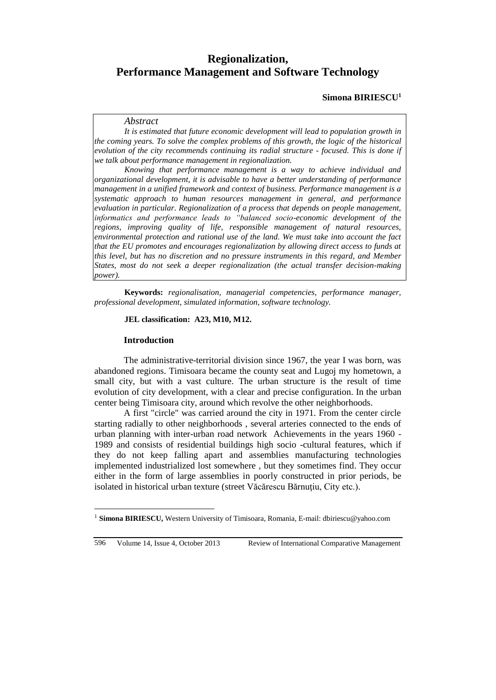# **Regionalization, Performance Management and Software Technology**

#### **Simona BIRIESCU<sup>1</sup>**

#### *Abstract*

*It is estimated that future economic development will lead to population growth in the coming years. To solve the complex problems of this growth, the logic of the historical evolution of the city recommends continuing its radial structure - focused. This is done if we talk about performance management in regionalization.* 

*Knowing that performance management is a way to achieve individual and organizational development, it is advisable to have a better understanding of performance management in a unified framework and context of business. Performance management is a systematic approach to human resources management in general, and performance evaluation in particular. Regionalization of a process that depends on people management, informatics and performance leads to "balanced socio-economic development of the regions, improving quality of life, responsible management of natural resources, environmental protection and rational use of the land. We must take into account the fact that the EU promotes and encourages regionalization by allowing direct access to funds at this level, but has no discretion and no pressure instruments in this regard, and Member States, most do not seek a deeper regionalization (the actual transfer decision-making power).*

**Keywords:** *regionalisation, managerial competencies, performance manager, professional development, simulated information, software technology.*

#### **JEL classification: A23, M10, M12.**

#### **Introduction**

The administrative-territorial division since 1967, the year I was born, was abandoned regions. Timisoara became the county seat and Lugoj my hometown, a small city, but with a vast culture. The urban structure is the result of time evolution of city development, with a clear and precise configuration. In the urban center being Timisoara city, around which revolve the other neighborhoods.

A first "circle" was carried around the city in 1971. From the center circle starting radially to other neighborhoods , several arteries connected to the ends of urban planning with inter-urban road network Achievements in the years 1960 - 1989 and consists of residential buildings high socio -cultural features, which if they do not keep falling apart and assemblies manufacturing technologies implemented industrialized lost somewhere , but they sometimes find. They occur either in the form of large assemblies in poorly constructed in prior periods, be isolated in historical urban texture (street Văcărescu Bărnuțiu, City etc.).

596 Volume 14, Issue 4, October 2013 Review of International Comparative Management

 $\overline{a}$ 

<sup>1</sup> **Simona BIRIESCU,** Western University of Timisoara, Romania, E-mail: dbiriescu@yahoo.com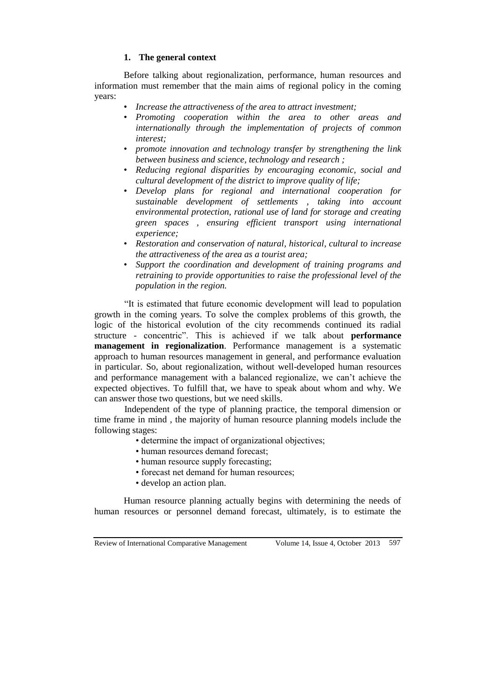# **1. The general context**

Before talking about regionalization, performance, human resources and information must remember that the main aims of regional policy in the coming years:

- *Increase the attractiveness of the area to attract investment;*
- *Promoting cooperation within the area to other areas and internationally through the implementation of projects of common interest;*
- *promote innovation and technology transfer by strengthening the link between business and science, technology and research ;*
- *Reducing regional disparities by encouraging economic, social and cultural development of the district to improve quality of life;*
- *Develop plans for regional and international cooperation for sustainable development of settlements , taking into account environmental protection, rational use of land for storage and creating green spaces , ensuring efficient transport using international experience;*
- *Restoration and conservation of natural, historical, cultural to increase the attractiveness of the area as a tourist area;*
- *Support the coordination and development of training programs and retraining to provide opportunities to raise the professional level of the population in the region.*

"It is estimated that future economic development will lead to population growth in the coming years. To solve the complex problems of this growth, the logic of the historical evolution of the city recommends continued its radial structure - concentric". This is achieved if we talk about **performance management in regionalization**. Performance management is a systematic approach to human resources management in general, and performance evaluation in particular. So, about regionalization, without well-developed human resources and performance management with a balanced regionalize, we can't achieve the expected objectives. To fulfill that, we have to speak about whom and why. We can answer those two questions, but we need skills.

Independent of the type of planning practice, the temporal dimension or time frame in mind , the majority of human resource planning models include the following stages:

- determine the impact of organizational objectives;
- human resources demand forecast;
- human resource supply forecasting;
- forecast net demand for human resources;
- develop an action plan.

Human resource planning actually begins with determining the needs of human resources or personnel demand forecast, ultimately, is to estimate the

Review of International Comparative Management Volume 14, Issue 4, October 2013 597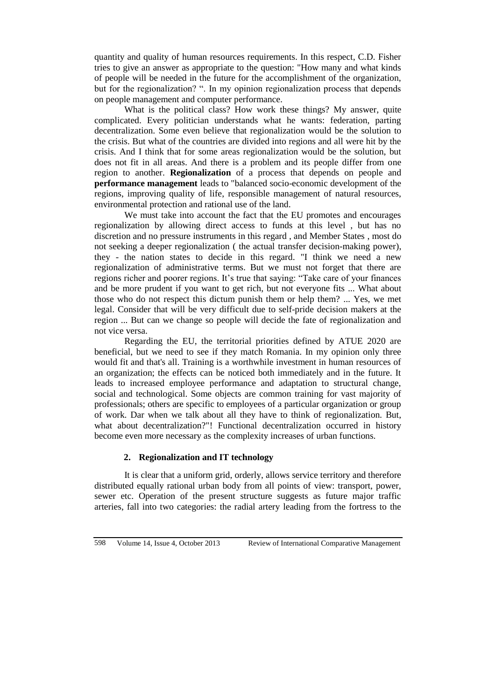quantity and quality of human resources requirements. In this respect, C.D. Fisher tries to give an answer as appropriate to the question: "How many and what kinds of people will be needed in the future for the accomplishment of the organization, but for the regionalization? ". In my opinion regionalization process that depends on people management and computer performance.

What is the political class? How work these things? My answer, quite complicated. Every politician understands what he wants: federation, parting decentralization. Some even believe that regionalization would be the solution to the crisis. But what of the countries are divided into regions and all were hit by the crisis. And I think that for some areas regionalization would be the solution, but does not fit in all areas. And there is a problem and its people differ from one region to another. **Regionalization** of a process that depends on people and **performance management** leads to "balanced socio-economic development of the regions, improving quality of life, responsible management of natural resources, environmental protection and rational use of the land.

We must take into account the fact that the EU promotes and encourages regionalization by allowing direct access to funds at this level , but has no discretion and no pressure instruments in this regard , and Member States , most do not seeking a deeper regionalization ( the actual transfer decision-making power), they - the nation states to decide in this regard. "I think we need a new regionalization of administrative terms. But we must not forget that there are regions richer and poorer regions. It's true that saying: "Take care of your finances and be more prudent if you want to get rich, but not everyone fits ... What about those who do not respect this dictum punish them or help them? ... Yes, we met legal. Consider that will be very difficult due to self-pride decision makers at the region ... But can we change so people will decide the fate of regionalization and not vice versa.

Regarding the EU, the territorial priorities defined by ATUE 2020 are beneficial, but we need to see if they match Romania. In my opinion only three would fit and that's all. Training is a worthwhile investment in human resources of an organization; the effects can be noticed both immediately and in the future. It leads to increased employee performance and adaptation to structural change, social and technological. Some objects are common training for vast majority of professionals; others are specific to employees of a particular organization or group of work. Dar when we talk about all they have to think of regionalization. But, what about decentralization?"! Functional decentralization occurred in history become even more necessary as the complexity increases of urban functions.

# **2. Regionalization and IT technology**

It is clear that a uniform grid, orderly, allows service territory and therefore distributed equally rational urban body from all points of view: transport, power, sewer etc. Operation of the present structure suggests as future major traffic arteries, fall into two categories: the radial artery leading from the fortress to the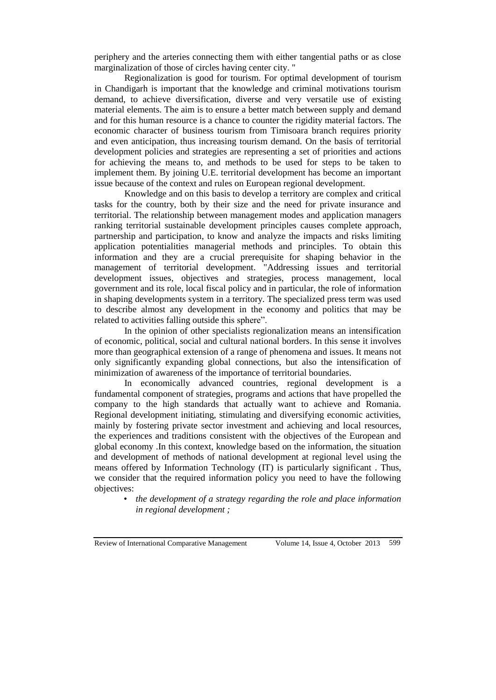periphery and the arteries connecting them with either tangential paths or as close marginalization of those of circles having center city. "

Regionalization is good for tourism. For optimal development of tourism in Chandigarh is important that the knowledge and criminal motivations tourism demand, to achieve diversification, diverse and very versatile use of existing material elements. The aim is to ensure a better match between supply and demand and for this human resource is a chance to counter the rigidity material factors. The economic character of business tourism from Timisoara branch requires priority and even anticipation, thus increasing tourism demand. On the basis of territorial development policies and strategies are representing a set of priorities and actions for achieving the means to, and methods to be used for steps to be taken to implement them. By joining U.E. territorial development has become an important issue because of the context and rules on European regional development.

Knowledge and on this basis to develop a territory are complex and critical tasks for the country, both by their size and the need for private insurance and territorial. The relationship between management modes and application managers ranking territorial sustainable development principles causes complete approach, partnership and participation, to know and analyze the impacts and risks limiting application potentialities managerial methods and principles. To obtain this information and they are a crucial prerequisite for shaping behavior in the management of territorial development. "Addressing issues and territorial development issues, objectives and strategies, process management, local government and its role, local fiscal policy and in particular, the role of information in shaping developments system in a territory. The specialized press term was used to describe almost any development in the economy and politics that may be related to activities falling outside this sphere".

In the opinion of other specialists regionalization means an intensification of economic, political, social and cultural national borders. In this sense it involves more than geographical extension of a range of phenomena and issues. It means not only significantly expanding global connections, but also the intensification of minimization of awareness of the importance of territorial boundaries.

In economically advanced countries, regional development is a fundamental component of strategies, programs and actions that have propelled the company to the high standards that actually want to achieve and Romania. Regional development initiating, stimulating and diversifying economic activities, mainly by fostering private sector investment and achieving and local resources, the experiences and traditions consistent with the objectives of the European and global economy .In this context, knowledge based on the information, the situation and development of methods of national development at regional level using the means offered by Information Technology (IT) is particularly significant . Thus, we consider that the required information policy you need to have the following objectives:

• *the development of a strategy regarding the role and place information in regional development ;*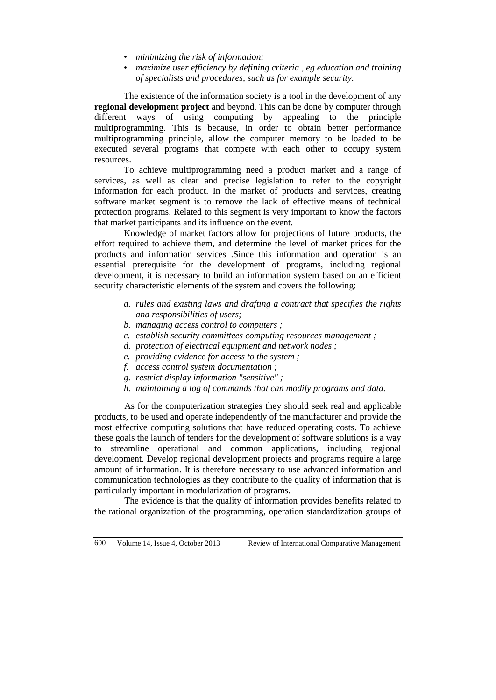- *minimizing the risk of information;*
- *maximize user efficiency by defining criteria , eg education and training of specialists and procedures, such as for example security.*

The existence of the information society is a tool in the development of any **regional development project** and beyond. This can be done by computer through different ways of using computing by appealing to the principle multiprogramming. This is because, in order to obtain better performance multiprogramming principle, allow the computer memory to be loaded to be executed several programs that compete with each other to occupy system resources.

To achieve multiprogramming need a product market and a range of services, as well as clear and precise legislation to refer to the copyright information for each product. In the market of products and services, creating software market segment is to remove the lack of effective means of technical protection programs. Related to this segment is very important to know the factors that market participants and its influence on the event.

Knowledge of market factors allow for projections of future products, the effort required to achieve them, and determine the level of market prices for the products and information services .Since this information and operation is an essential prerequisite for the development of programs, including regional development, it is necessary to build an information system based on an efficient security characteristic elements of the system and covers the following:

- *a. rules and existing laws and drafting a contract that specifies the rights and responsibilities of users;*
- *b. managing access control to computers ;*
- *c. establish security committees computing resources management ;*
- *d. protection of electrical equipment and network nodes ;*
- *e. providing evidence for access to the system ;*
- *f. access control system documentation ;*
- *g. restrict display information "sensitive" ;*
- *h. maintaining a log of commands that can modify programs and data.*

As for the computerization strategies they should seek real and applicable products, to be used and operate independently of the manufacturer and provide the most effective computing solutions that have reduced operating costs. To achieve these goals the launch of tenders for the development of software solutions is a way to streamline operational and common applications, including regional development. Develop regional development projects and programs require a large amount of information. It is therefore necessary to use advanced information and communication technologies as they contribute to the quality of information that is particularly important in modularization of programs.

The evidence is that the quality of information provides benefits related to the rational organization of the programming, operation standardization groups of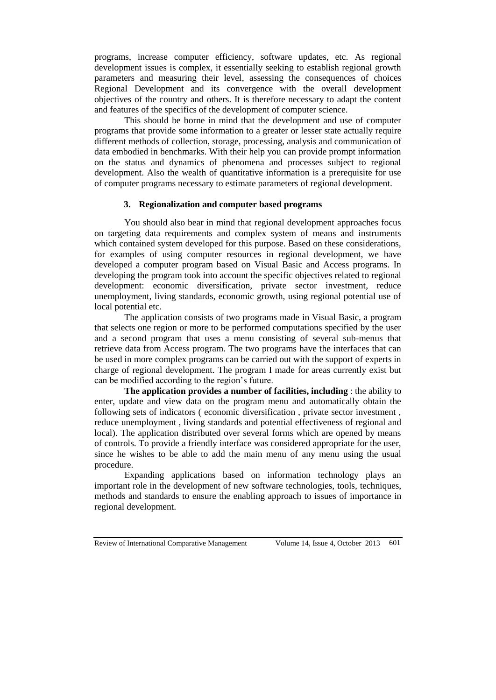programs, increase computer efficiency, software updates, etc. As regional development issues is complex, it essentially seeking to establish regional growth parameters and measuring their level, assessing the consequences of choices Regional Development and its convergence with the overall development objectives of the country and others. It is therefore necessary to adapt the content and features of the specifics of the development of computer science.

This should be borne in mind that the development and use of computer programs that provide some information to a greater or lesser state actually require different methods of collection, storage, processing, analysis and communication of data embodied in benchmarks. With their help you can provide prompt information on the status and dynamics of phenomena and processes subject to regional development. Also the wealth of quantitative information is a prerequisite for use of computer programs necessary to estimate parameters of regional development.

# **3. Regionalization and computer based programs**

You should also bear in mind that regional development approaches focus on targeting data requirements and complex system of means and instruments which contained system developed for this purpose. Based on these considerations, for examples of using computer resources in regional development, we have developed a computer program based on Visual Basic and Access programs. In developing the program took into account the specific objectives related to regional development: economic diversification, private sector investment, reduce unemployment, living standards, economic growth, using regional potential use of local potential etc.

The application consists of two programs made in Visual Basic, a program that selects one region or more to be performed computations specified by the user and a second program that uses a menu consisting of several sub-menus that retrieve data from Access program. The two programs have the interfaces that can be used in more complex programs can be carried out with the support of experts in charge of regional development. The program I made for areas currently exist but can be modified according to the region's future.

**The application provides a number of facilities, including** : the ability to enter, update and view data on the program menu and automatically obtain the following sets of indicators ( economic diversification , private sector investment , reduce unemployment , living standards and potential effectiveness of regional and local). The application distributed over several forms which are opened by means of controls. To provide a friendly interface was considered appropriate for the user, since he wishes to be able to add the main menu of any menu using the usual procedure.

Expanding applications based on information technology plays an important role in the development of new software technologies, tools, techniques, methods and standards to ensure the enabling approach to issues of importance in regional development.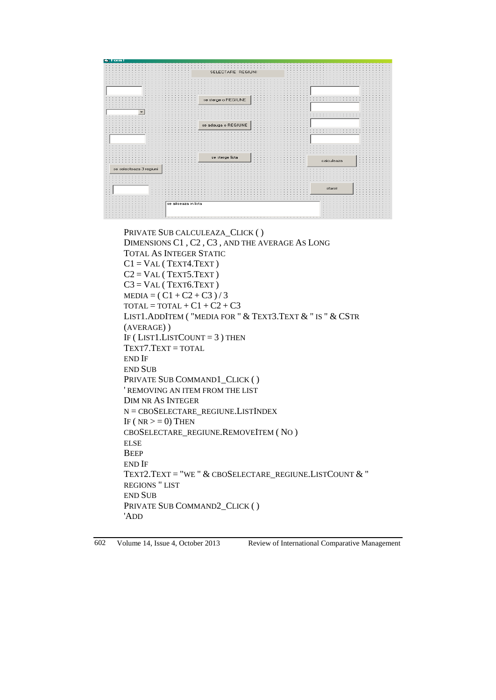

PRIVATE SUB CALCULEAZA\_CLICK ( ) DIMENSIONS C1 , C2 , C3 , AND THE AVERAGE AS LONG TOTAL AS INTEGER STATIC  $C1 = VAL$  (TEXT4.TEXT)  $C2 = VAL$  (TEXT5.TEXT)  $C3 = VAL$  (TEXT6.TEXT)  $MEDIA = ( C1 + C2 + C3 ) / 3$  $\text{total} = \text{total} + \text{C1} + \text{C2} + \text{C3}$ LIST1.ADDITEM ( "MEDIA FOR " & TEXT3.TEXT & " IS " & CSTR (AVERAGE) ) IF ( $LIST1.LISTCOUNT = 3$ ) THEN TEXT7.TEXT = TOTAL END IF END SUB PRIVATE SUB COMMAND1 CLICK ( ) ' REMOVING AN ITEM FROM THE LIST DIM NR AS INTEGER N = CBOSELECTARE\_REGIUNE.LISTINDEX IF ( $NR \geq 0$ ) THEN CBOSELECTARE\_REGIUNE.REMOVEITEM ( NO ) ELSE **BEEP** END IF TEXT2.TEXT = "WE " & CBOSELECTARE\_REGIUNE.LISTCOUNT & " REGIONS " LIST END SUB PRIVATE SUB COMMAND2\_CLICK ( ) 'ADD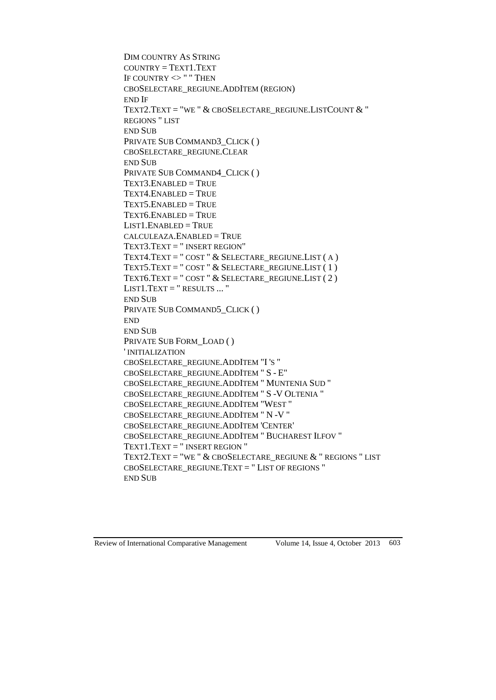```
DIM COUNTRY AS STRING
COUNTRY = TEXT1.TEXTIF COUNTRY <> " " THEN
CBOSELECTARE_REGIUNE.ADDITEM (REGION)
END IF
TEXT2.TEXT = "WE " & CBOSELECTARE_REGIUNE.LISTCOUNT & "
REGIONS " LIST
END SUB
PRIVATE SUB COMMAND3 CLICK ( )
CBOSELECTARE_REGIUNE.CLEAR
END SUB
PRIVATE SUB COMMAND4_CLICK ( )
TEXT3.ENABLED = TRUE
TexT4.ENABLED = TRUETEXT5.ENABLED = TRUE
TEXT6.ENABLED = TRUE
LIST1.ENABLED = TRUE
CALCULEAZA.ENABLED = TRUE
TEXT3.TEXT = " INSERT REGION"
TEXT4.TEXT = "COST" & SELECTARE_REGIUNE.LIST (A)
TEXT5.TEXT = " COST " & SELECTARE_REGIUNE.LIST ( 1 )
TEXT6.TEXT = "COST" & SELECTARE REGIUNE.LIST ( 2 )
LIST1.TEXT = " RESULTS ... "
END SUB
PRIVATE SUB COMMAND5_CLICK ( )
END
END SUB
PRIVATE SUB FORM_LOAD ( )
' INITIALIZATION
CBOSELECTARE_REGIUNE.ADDITEM "I 'S "
CBOSELECTARE_REGIUNE.ADDITEM " S - E"
CBOSELECTARE_REGIUNE.ADDITEM " MUNTENIA SUD "
CBOSELECTARE_REGIUNE.ADDITEM " S -V OLTENIA "
CBOSELECTARE_REGIUNE.ADDITEM "WEST "
CBOSELECTARE_REGIUNE.ADDITEM " N -V "
CBOSELECTARE_REGIUNE.ADDITEM 'CENTER'
CBOSELECTARE_REGIUNE.ADDITEM " BUCHAREST ILFOV "
TEXT1.TEXT = " INSERT REGION "
TEXT2.TEXT = "WE " & CBOSELECTARE REGIUNE & " REGIONS " LIST
CBOSELECTARE_REGIUNE.TEXT = " LIST OF REGIONS "
END SUB
```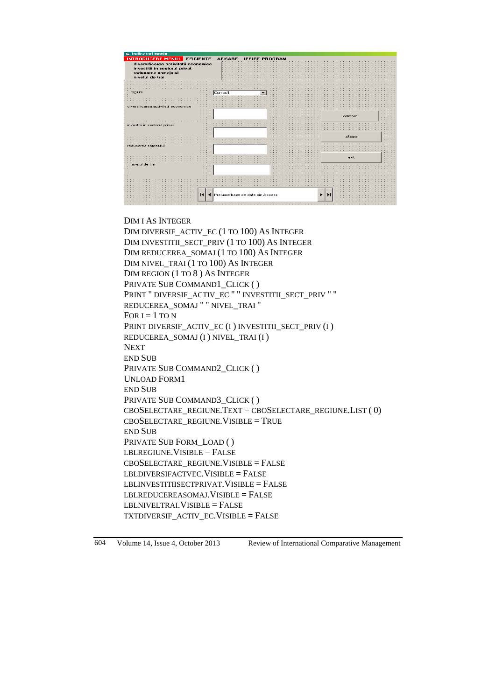

### DIM I AS INTEGER

DIM DIVERSIF\_ACTIV\_EC (1 TO 100) AS INTEGER DIM INVESTITII\_SECT\_PRIV (1 TO 100) AS INTEGER DIM REDUCEREA\_SOMAJ (1 TO 100) AS INTEGER DIM NIVEL TRAI (1 TO 100) AS INTEGER DIM REGION (1 TO 8 ) AS INTEGER PRIVATE SUB COMMAND1 CLICK ( ) PRINT " DIVERSIF\_ACTIV\_EC " " INVESTITII\_SECT\_PRIV " " REDUCEREA\_SOMAJ " " NIVEL\_TRAI " FOR  $I = 1$  TO N PRINT DIVERSIF\_ACTIV\_EC (I ) INVESTITII\_SECT\_PRIV (I ) REDUCEREA\_SOMAJ (I ) NIVEL\_TRAI (I ) NEXT END SUB PRIVATE SUB COMMAND2\_CLICK ( ) UNLOAD FORM1 END SUB PRIVATE SUB COMMAND3\_CLICK ( ) CBOSELECTARE\_REGIUNE.TEXT = CBOSELECTARE\_REGIUNE.LIST ( 0) CBOSELECTARE\_REGIUNE.VISIBLE = TRUE END SUB PRIVATE SUB FORM LOAD ( )  $LBLREGIUNE.VISIBLE = FALSE$  $CBOSELECTARE$  REGIUNE. VISIBLE = FALSE LBLDIVERSIFACTVEC.VISIBLE = FALSE  $\textbf{LBLINVESTITIISECTPRIVAT.} \textbf{VISIBLE} = \textbf{FALSE}$ LBLREDUCEREASOMAJ.VISIBLE = FALSE LBLNIVELTRAI.VISIBLE = FALSE TXTDIVERSIF\_ACTIV\_EC.VISIBLE = FALSE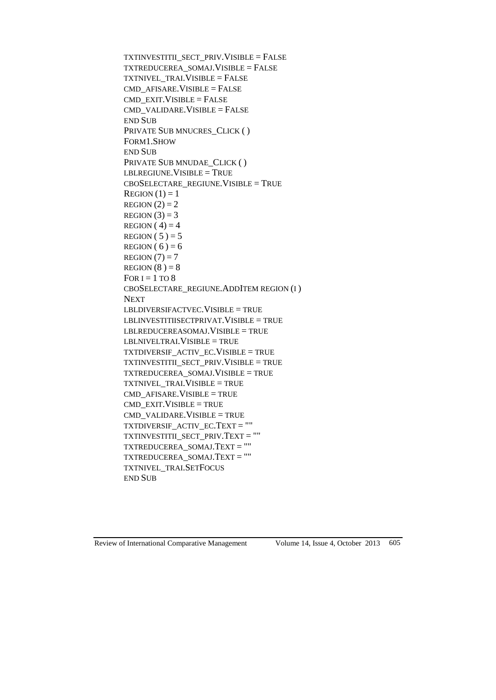```
TXTINVESTITII_SECT_PRIV.VISIBLE = FALSE
TXTREDUCEREA_SOMAJ.VISIBLE = FALSE
TXTNIVEL_TRAI.VISIBLE = FALSE
CMD AFISARE. VISIBLE = FALSE
CMD<sub>EXIT</sub>VISIBLE = FALSECMD_VALIDARE.VISIBLE = FALSE
END SUB
PRIVATE SUB MNUCRES_CLICK ( )
FORM1.SHOW
END SUB
PRIVATE SUB MNUDAE_CLICK ( )
LBLREGIUNE.VISIBLE = TRUECBOSELECTARE_REGIUNE.VISIBLE = TRUE
\text{REGION}(1) = 1REGION (2) = 2REGION (3) = 3REGION (4) = 4REGION (5) = 5REGION (6) = 6REGION (7) = 7REGION (8) = 8FOR I = 1 TO 8
CBOSELECTARE_REGIUNE.ADDITEM REGION (I )
NEXT
LBLDIVERSIFACTVEC.VISIBLE = TRUE
LBLINVESTITIISECTPRIVAT.VISIBLE = TRUE
LBLREDUCEREASOMAJ.VISIBLE = TRUE
LBLNIVELTRAI.VISIBLE = TRUE
TXTDIVERSIF_ACTIV_EC.VISIBLE = TRUE
TXTINVESTITII_SECT_PRIV.VISIBLE = TRUE
TXTREDUCEREA_SOMAJ.VISIBLE = TRUE
TXTNIVEL_TRAI.VISIBLE = TRUE
CMD AFISARE. VISIBLE = TRUE
CMD_EXIT.VISIBLE = TRUE
CMD VALIDARE. VISIBLE = TRUE
TXTDIVERSIF_ACTIV_EC.TEXT = ""
TXTINVESTITII_SECT_PRIV.TEXT = ""
TXTREDUCEREA_SOMAJ.TEXT = ""
TXTREDUCEREA_SOMAJ.TEXT = ""
TXTNIVEL_TRAI.SETFOCUS
END SUB
```
Review of International Comparative Management Volume 14, Issue 4, October 2013 605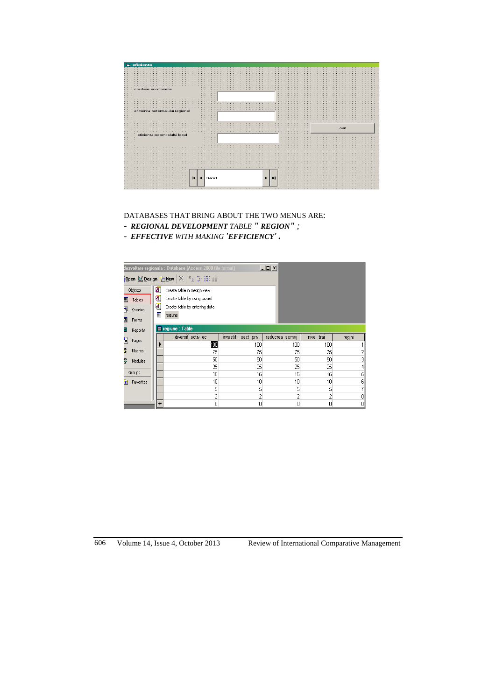

DATABASES THAT BRING ABOUT THE TWO MENUS ARE:

- *- REGIONAL DEVELOPMENT TABLE " REGION" ;*
- *- EFFECTIVE WITH MAKING 'EFFICIENCY' .*

|                                       | $ \Box$ $\times$<br>dezvoltare regionala : Database (Access 2000 file format) |                         |                              |                      |                |            |                   |  |  |  |  |  |
|---------------------------------------|-------------------------------------------------------------------------------|-------------------------|------------------------------|----------------------|----------------|------------|-------------------|--|--|--|--|--|
| Open M Design 御 New $ \times $ to 计键面 |                                                                               |                         |                              |                      |                |            |                   |  |  |  |  |  |
|                                       | Objects                                                                       | ◙                       | Create table in Design view  |                      |                |            |                   |  |  |  |  |  |
| Ħ                                     | Tables                                                                        | ◙                       | Create table by using wizard |                      |                |            |                   |  |  |  |  |  |
| 甲                                     |                                                                               |                         |                              |                      |                |            |                   |  |  |  |  |  |
| 割                                     | Forms                                                                         | Queries<br>▣<br>regiune |                              |                      |                |            |                   |  |  |  |  |  |
|                                       | Reports                                                                       |                         | <b>E</b> regiune : Table     |                      |                |            |                   |  |  |  |  |  |
| 탑                                     | Pages                                                                         |                         | diversif activ ec            | investitii sect priv | reducrea somaj | nivel trai | regini            |  |  |  |  |  |
|                                       |                                                                               |                         | 硘                            | 100                  | 100            | 100        |                   |  |  |  |  |  |
| F.                                    | Macros                                                                        |                         | 75                           | 75                   | 75             | 75         |                   |  |  |  |  |  |
| ß                                     | Modules                                                                       |                         | 50                           | 50                   | 50             | 50         | 3                 |  |  |  |  |  |
|                                       |                                                                               |                         | 25                           | 25                   | 25             | 25         | 4                 |  |  |  |  |  |
|                                       | Groups                                                                        |                         | 15                           | 15                   | 15             | 15         | 5                 |  |  |  |  |  |
|                                       | Favorites                                                                     |                         | 10 <sup>1</sup>              | 10                   | 10             | 10         | 6                 |  |  |  |  |  |
|                                       |                                                                               |                         | 5                            | 5                    | 5              | 5          | 7                 |  |  |  |  |  |
|                                       |                                                                               |                         |                              | 2                    | 2              | 2          | $\lvert 8 \rvert$ |  |  |  |  |  |
|                                       |                                                                               | $\ast$                  | 0                            | ٥                    | 0              | 0          | $\overline{0}$    |  |  |  |  |  |